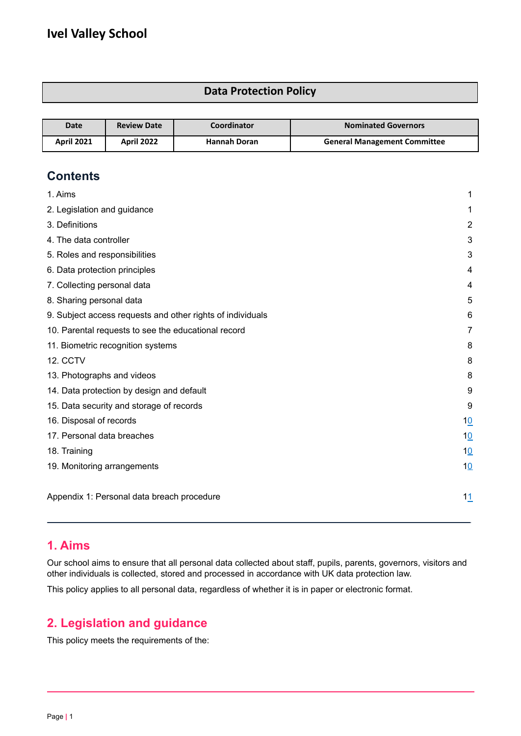## **Data Protection Policy**

| Date       | <b>Review Date</b> | Coordinator  | <b>Nominated Governors</b>          |
|------------|--------------------|--------------|-------------------------------------|
| April 2021 | <b>April 2022</b>  | Hannah Doran | <b>General Management Committee</b> |

# **Contents**

| 1. Aims                                                    | 1              |
|------------------------------------------------------------|----------------|
| 2. Legislation and guidance                                | 1              |
| 3. Definitions                                             | $\overline{2}$ |
| 4. The data controller                                     | 3              |
| 5. Roles and responsibilities                              | 3              |
| 6. Data protection principles                              | 4              |
| 7. Collecting personal data                                | 4              |
| 8. Sharing personal data                                   | 5              |
| 9. Subject access requests and other rights of individuals | 6              |
| 10. Parental requests to see the educational record        | 7              |
| 11. Biometric recognition systems                          | 8              |
| 12. CCTV                                                   | 8              |
| 13. Photographs and videos                                 | 8              |
| 14. Data protection by design and default                  | 9              |
| 15. Data security and storage of records                   | 9              |
| 16. Disposal of records                                    | 10             |
| 17. Personal data breaches                                 | 10             |
| 18. Training                                               | 10             |
| 19. Monitoring arrangements                                | 10             |
| Appendix 1: Personal data breach procedure                 | 11             |

### <span id="page-0-0"></span>**1. Aims**

Our school aims to ensure that all personal data collected about staff, pupils, parents, governors, visitors and other individuals is collected, stored and processed in accordance with UK data protection law.

<span id="page-0-1"></span>This policy applies to all personal data, regardless of whether it is in paper or electronic format.

## **2. Legislation and guidance**

This policy meets the requirements of the: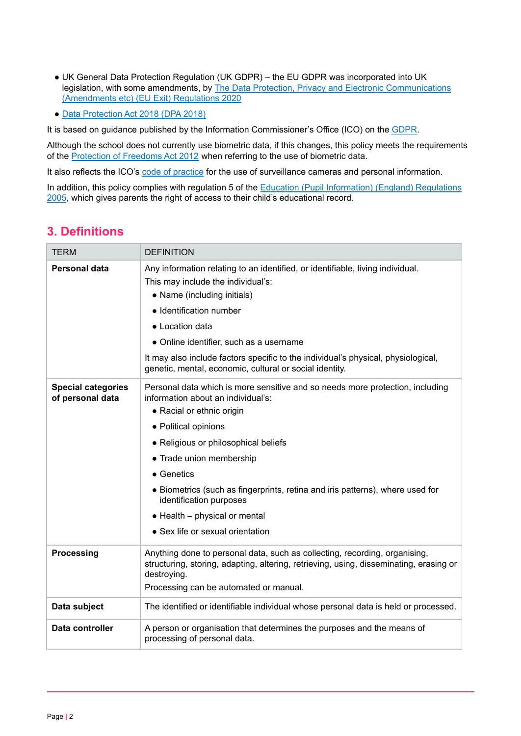- UK General Data Protection Regulation (UK GDPR) the EU GDPR was incorporated into UK legislation, with some amendments, by The Data Protection, Privacy and Electronic [Communications](https://www.legislation.gov.uk/uksi/2020/1586/made) [\(Amendments](https://www.legislation.gov.uk/uksi/2020/1586/made) etc) (EU Exit) Regulations 2020
- Data [Protection](http://www.legislation.gov.uk/ukpga/2018/12/contents/enacted) Act 2018 (DPA 2018)

It is based on guidance published by the Information Commissioner's Office (ICO) on the [GDPR](https://ico.org.uk/for-organisations/guide-to-the-general-data-protection-regulation-gdpr/).

Although the school does not currently use biometric data, if this changes, this policy meets the requirements of the Protection of [Freedoms](https://www.legislation.gov.uk/ukpga/2012/9/part/1/chapter/2) Act 2012 when referring to the use of biometric data.

It also reflects the ICO's code of [practice](https://ico.org.uk/media/for-organisations/documents/1542/cctv-code-of-practice.pdf) for the use of surveillance cameras and personal information.

In addition, this policy complies with regulation 5 of the Education (Pupil [Information\)](http://www.legislation.gov.uk/uksi/2005/1437/regulation/5/made) (England) Regulations [2005](http://www.legislation.gov.uk/uksi/2005/1437/regulation/5/made), which gives parents the right of access to their child's educational record.

## <span id="page-1-0"></span>**3. Definitions**

| <b>TERM</b>                                   | <b>DEFINITION</b>                                                                                                                                                                                                                                                                                                                                                                                                                           |
|-----------------------------------------------|---------------------------------------------------------------------------------------------------------------------------------------------------------------------------------------------------------------------------------------------------------------------------------------------------------------------------------------------------------------------------------------------------------------------------------------------|
| <b>Personal data</b>                          | Any information relating to an identified, or identifiable, living individual.<br>This may include the individual's:<br>• Name (including initials)<br>• Identification number<br>• Location data<br>• Online identifier, such as a username<br>It may also include factors specific to the individual's physical, physiological,<br>genetic, mental, economic, cultural or social identity.                                                |
| <b>Special categories</b><br>of personal data | Personal data which is more sensitive and so needs more protection, including<br>information about an individual's:<br>• Racial or ethnic origin<br>• Political opinions<br>• Religious or philosophical beliefs<br>• Trade union membership<br>• Genetics<br>• Biometrics (such as fingerprints, retina and iris patterns), where used for<br>identification purposes<br>• Health – physical or mental<br>• Sex life or sexual orientation |
| <b>Processing</b>                             | Anything done to personal data, such as collecting, recording, organising,<br>structuring, storing, adapting, altering, retrieving, using, disseminating, erasing or<br>destroying.<br>Processing can be automated or manual.                                                                                                                                                                                                               |
| Data subject                                  | The identified or identifiable individual whose personal data is held or processed.                                                                                                                                                                                                                                                                                                                                                         |
| Data controller                               | A person or organisation that determines the purposes and the means of<br>processing of personal data.                                                                                                                                                                                                                                                                                                                                      |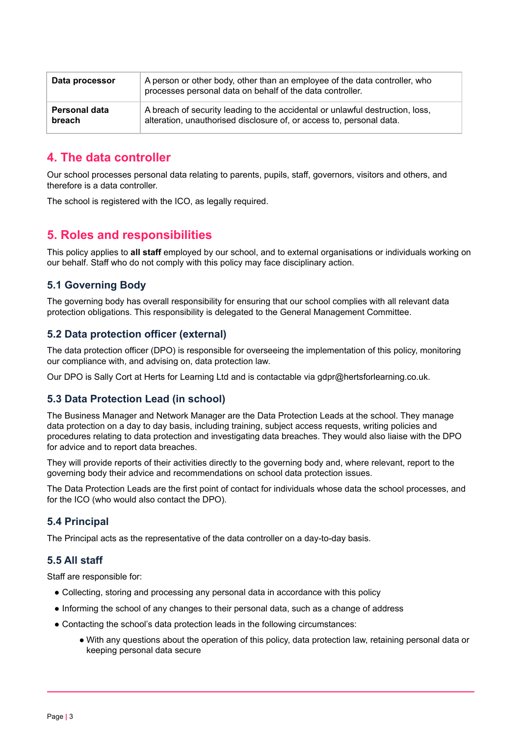| Data processor | A person or other body, other than an employee of the data controller, who<br>processes personal data on behalf of the data controller. |
|----------------|-----------------------------------------------------------------------------------------------------------------------------------------|
| Personal data  | A breach of security leading to the accidental or unlawful destruction, loss,                                                           |
| breach         | alteration, unauthorised disclosure of, or access to, personal data.                                                                    |

## <span id="page-2-0"></span>**4. The data controller**

Our school processes personal data relating to parents, pupils, staff, governors, visitors and others, and therefore is a data controller.

<span id="page-2-1"></span>The school is registered with the ICO, as legally required.

## **5. Roles and responsibilities**

This policy applies to **all staff** employed by our school, and to external organisations or individuals working on our behalf. Staff who do not comply with this policy may face disciplinary action.

### **5.1 Governing Body**

The governing body has overall responsibility for ensuring that our school complies with all relevant data protection obligations. This responsibility is delegated to the General Management Committee.

### **5.2 Data protection officer (external)**

The data protection officer (DPO) is responsible for overseeing the implementation of this policy, monitoring our compliance with, and advising on, data protection law.

Our DPO is Sally Cort at Herts for Learning Ltd and is contactable via gdpr@hertsforlearning.co.uk.

#### **5.3 Data Protection Lead (in school)**

The Business Manager and Network Manager are the Data Protection Leads at the school. They manage data protection on a day to day basis, including training, subject access requests, writing policies and procedures relating to data protection and investigating data breaches. They would also liaise with the DPO for advice and to report data breaches.

They will provide reports of their activities directly to the governing body and, where relevant, report to the governing body their advice and recommendations on school data protection issues.

The Data Protection Leads are the first point of contact for individuals whose data the school processes, and for the ICO (who would also contact the DPO).

### **5.4 Principal**

The Principal acts as the representative of the data controller on a day-to-day basis.

#### **5.5 All staff**

Staff are responsible for:

- Collecting, storing and processing any personal data in accordance with this policy
- Informing the school of any changes to their personal data, such as a change of address
- Contacting the school's data protection leads in the following circumstances:
	- With any questions about the operation of this policy, data protection law, retaining personal data or keeping personal data secure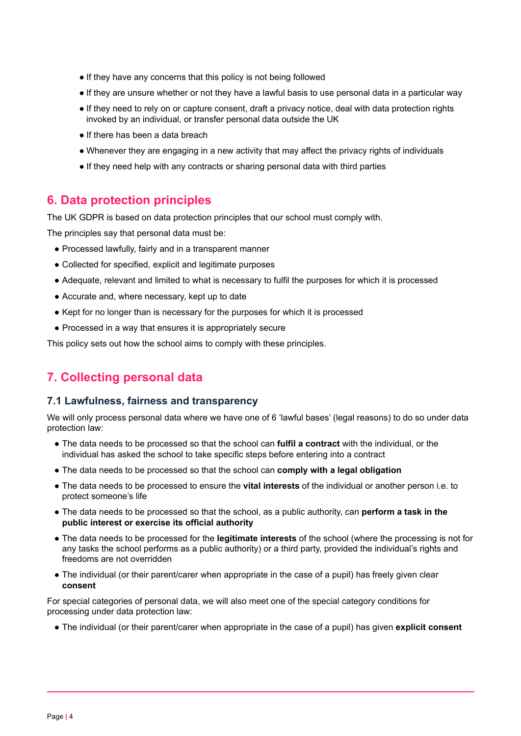- If they have any concerns that this policy is not being followed
- If they are unsure whether or not they have a lawful basis to use personal data in a particular way
- If they need to rely on or capture consent, draft a privacy notice, deal with data protection rights invoked by an individual, or transfer personal data outside the UK
- If there has been a data breach
- Whenever they are engaging in a new activity that may affect the privacy rights of individuals
- If they need help with any contracts or sharing personal data with third parties

### <span id="page-3-0"></span>**6. Data protection principles**

The UK GDPR is based on data protection principles that our school must comply with.

The principles say that personal data must be:

- Processed lawfully, fairly and in a transparent manner
- Collected for specified, explicit and legitimate purposes
- Adequate, relevant and limited to what is necessary to fulfil the purposes for which it is processed
- Accurate and, where necessary, kept up to date
- Kept for no longer than is necessary for the purposes for which it is processed
- Processed in a way that ensures it is appropriately secure

<span id="page-3-1"></span>This policy sets out how the school aims to comply with these principles.

## **7. Collecting personal data**

#### **7.1 Lawfulness, fairness and transparency**

We will only process personal data where we have one of 6 'lawful bases' (legal reasons) to do so under data protection law:

- The data needs to be processed so that the school can **fulfil a contract** with the individual, or the individual has asked the school to take specific steps before entering into a contract
- The data needs to be processed so that the school can **comply with a legal obligation**
- The data needs to be processed to ensure the **vital interests** of the individual or another person i.e. to protect someone's life
- The data needs to be processed so that the school, as a public authority, can **perform a task in the public interest or exercise its official authority**
- The data needs to be processed for the **legitimate interests** of the school (where the processing is not for any tasks the school performs as a public authority) or a third party, provided the individual's rights and freedoms are not overridden
- The individual (or their parent/carer when appropriate in the case of a pupil) has freely given clear **consent**

For special categories of personal data, we will also meet one of the special category conditions for processing under data protection law:

● The individual (or their parent/carer when appropriate in the case of a pupil) has given **explicit consent**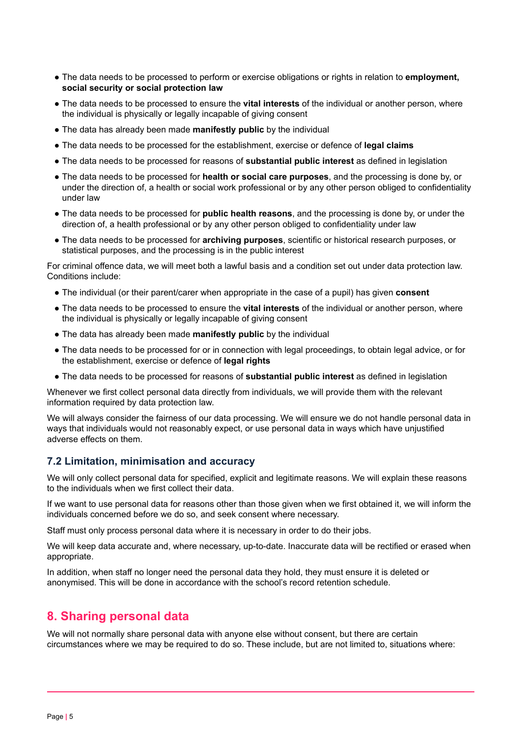- The data needs to be processed to perform or exercise obligations or rights in relation to **employment, social security or social protection law**
- The data needs to be processed to ensure the **vital interests** of the individual or another person, where the individual is physically or legally incapable of giving consent
- The data has already been made **manifestly public** by the individual
- The data needs to be processed for the establishment, exercise or defence of **legal claims**
- The data needs to be processed for reasons of **substantial public interest** as defined in legislation
- The data needs to be processed for **health or social care purposes**, and the processing is done by, or under the direction of, a health or social work professional or by any other person obliged to confidentiality under law
- The data needs to be processed for **public health reasons**, and the processing is done by, or under the direction of, a health professional or by any other person obliged to confidentiality under law
- The data needs to be processed for **archiving purposes**, scientific or historical research purposes, or statistical purposes, and the processing is in the public interest

For criminal offence data, we will meet both a lawful basis and a condition set out under data protection law. Conditions include:

- The individual (or their parent/carer when appropriate in the case of a pupil) has given **consent**
- The data needs to be processed to ensure the **vital interests** of the individual or another person, where the individual is physically or legally incapable of giving consent
- The data has already been made **manifestly public** by the individual
- The data needs to be processed for or in connection with legal proceedings, to obtain legal advice, or for the establishment, exercise or defence of **legal rights**
- The data needs to be processed for reasons of **substantial public interest** as defined in legislation

Whenever we first collect personal data directly from individuals, we will provide them with the relevant information required by data protection law.

We will always consider the fairness of our data processing. We will ensure we do not handle personal data in ways that individuals would not reasonably expect, or use personal data in ways which have unjustified adverse effects on them.

#### **7.2 Limitation, minimisation and accuracy**

We will only collect personal data for specified, explicit and legitimate reasons. We will explain these reasons to the individuals when we first collect their data.

If we want to use personal data for reasons other than those given when we first obtained it, we will inform the individuals concerned before we do so, and seek consent where necessary.

Staff must only process personal data where it is necessary in order to do their jobs.

We will keep data accurate and, where necessary, up-to-date. Inaccurate data will be rectified or erased when appropriate.

In addition, when staff no longer need the personal data they hold, they must ensure it is deleted or anonymised. This will be done in accordance with the school's record retention schedule.

### <span id="page-4-0"></span>**8. Sharing personal data**

We will not normally share personal data with anyone else without consent, but there are certain circumstances where we may be required to do so. These include, but are not limited to, situations where: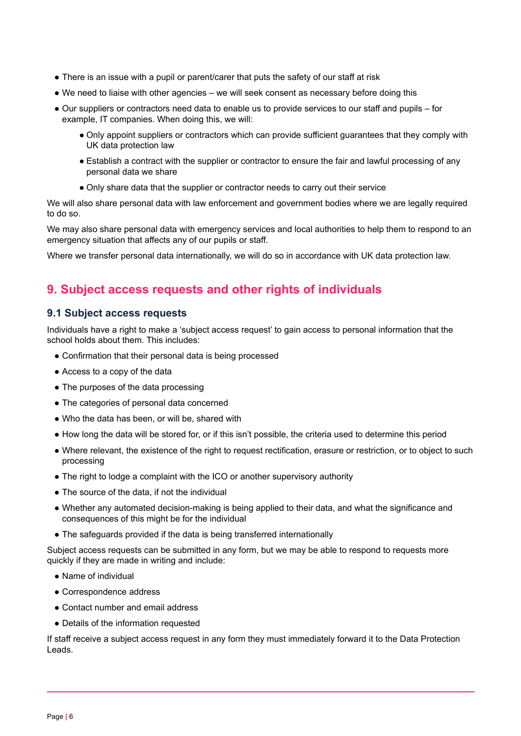- There is an issue with a pupil or parent/carer that puts the safety of our staff at risk
- We need to liaise with other agencies we will seek consent as necessary before doing this
- Our suppliers or contractors need data to enable us to provide services to our staff and pupils for example, IT companies. When doing this, we will:
	- Only appoint suppliers or contractors which can provide sufficient guarantees that they comply with UK data protection law
	- Establish a contract with the supplier or contractor to ensure the fair and lawful processing of any personal data we share
	- Only share data that the supplier or contractor needs to carry out their service

We will also share personal data with law enforcement and government bodies where we are legally required to do so.

We may also share personal data with emergency services and local authorities to help them to respond to an emergency situation that affects any of our pupils or staff.

<span id="page-5-0"></span>Where we transfer personal data internationally, we will do so in accordance with UK data protection law.

# **9. Subject access requests and other rights of individuals**

#### **9.1 Subject access requests**

Individuals have a right to make a 'subject access request' to gain access to personal information that the school holds about them. This includes:

- Confirmation that their personal data is being processed
- Access to a copy of the data
- The purposes of the data processing
- The categories of personal data concerned
- Who the data has been, or will be, shared with
- How long the data will be stored for, or if this isn't possible, the criteria used to determine this period
- Where relevant, the existence of the right to request rectification, erasure or restriction, or to object to such processing
- The right to lodge a complaint with the ICO or another supervisory authority
- The source of the data, if not the individual
- Whether any automated decision-making is being applied to their data, and what the significance and consequences of this might be for the individual
- The safeguards provided if the data is being transferred internationally

Subject access requests can be submitted in any form, but we may be able to respond to requests more quickly if they are made in writing and include:

- Name of individual
- Correspondence address
- Contact number and email address
- Details of the information requested

If staff receive a subject access request in any form they must immediately forward it to the Data Protection Leads.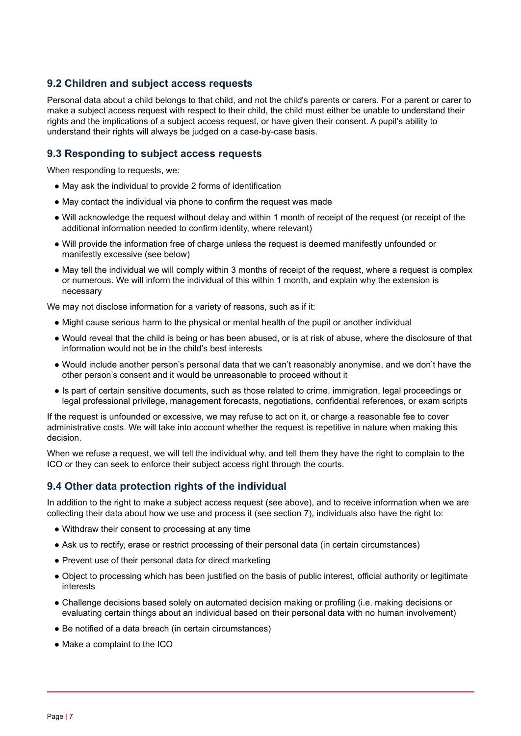### **9.2 Children and subject access requests**

Personal data about a child belongs to that child, and not the child's parents or carers. For a parent or carer to make a subject access request with respect to their child, the child must either be unable to understand their rights and the implications of a subject access request, or have given their consent. A pupil's ability to understand their rights will always be judged on a case-by-case basis.

#### **9.3 Responding to subject access requests**

When responding to requests, we:

- May ask the individual to provide 2 forms of identification
- May contact the individual via phone to confirm the request was made
- Will acknowledge the request without delay and within 1 month of receipt of the request (or receipt of the additional information needed to confirm identity, where relevant)
- Will provide the information free of charge unless the request is deemed manifestly unfounded or manifestly excessive (see below)
- May tell the individual we will comply within 3 months of receipt of the request, where a request is complex or numerous. We will inform the individual of this within 1 month, and explain why the extension is necessary

We may not disclose information for a variety of reasons, such as if it:

- Might cause serious harm to the physical or mental health of the pupil or another individual
- Would reveal that the child is being or has been abused, or is at risk of abuse, where the disclosure of that information would not be in the child's best interests
- Would include another person's personal data that we can't reasonably anonymise, and we don't have the other person's consent and it would be unreasonable to proceed without it
- Is part of certain sensitive documents, such as those related to crime, immigration, legal proceedings or legal professional privilege, management forecasts, negotiations, confidential references, or exam scripts

If the request is unfounded or excessive, we may refuse to act on it, or charge a reasonable fee to cover administrative costs. We will take into account whether the request is repetitive in nature when making this decision.

When we refuse a request, we will tell the individual why, and tell them they have the right to complain to the ICO or they can seek to enforce their subject access right through the courts.

### **9.4 Other data protection rights of the individual**

In addition to the right to make a subject access request (see above), and to receive information when we are collecting their data about how we use and process it (see section 7), individuals also have the right to:

- Withdraw their consent to processing at any time
- Ask us to rectify, erase or restrict processing of their personal data (in certain circumstances)
- Prevent use of their personal data for direct marketing
- Object to processing which has been justified on the basis of public interest, official authority or legitimate interests
- Challenge decisions based solely on automated decision making or profiling (i.e. making decisions or evaluating certain things about an individual based on their personal data with no human involvement)
- Be notified of a data breach (in certain circumstances)
- Make a complaint to the ICO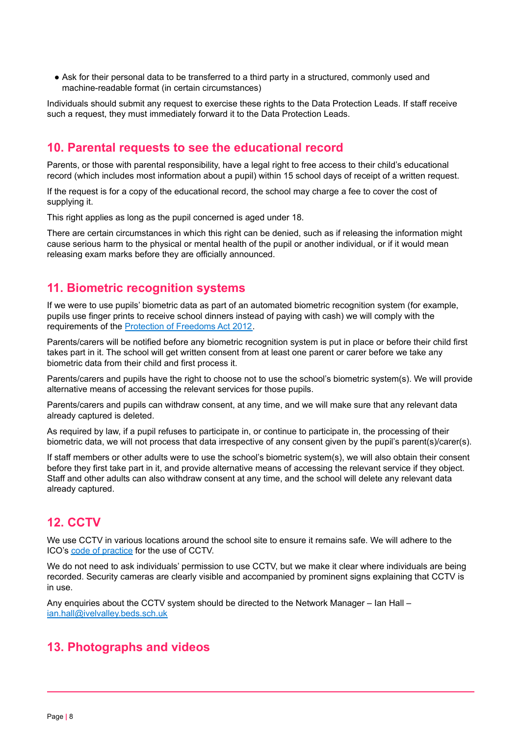● Ask for their personal data to be transferred to a third party in a structured, commonly used and machine-readable format (in certain circumstances)

Individuals should submit any request to exercise these rights to the Data Protection Leads. If staff receive such a request, they must immediately forward it to the Data Protection Leads.

## <span id="page-7-0"></span>**10. Parental requests to see the educational record**

Parents, or those with parental responsibility, have a legal right to free access to their child's educational record (which includes most information about a pupil) within 15 school days of receipt of a written request.

If the request is for a copy of the educational record, the school may charge a fee to cover the cost of supplying it.

This right applies as long as the pupil concerned is aged under 18.

There are certain circumstances in which this right can be denied, such as if releasing the information might cause serious harm to the physical or mental health of the pupil or another individual, or if it would mean releasing exam marks before they are officially announced.

## <span id="page-7-1"></span>**11. Biometric recognition systems**

If we were to use pupils' biometric data as part of an automated biometric recognition system (for example, pupils use finger prints to receive school dinners instead of paying with cash) we will comply with the requirements of the Protection of [Freedoms](https://www.legislation.gov.uk/ukpga/2012/9/section/26) Act 2012.

Parents/carers will be notified before any biometric recognition system is put in place or before their child first takes part in it. The school will get written consent from at least one parent or carer before we take any biometric data from their child and first process it.

Parents/carers and pupils have the right to choose not to use the school's biometric system(s). We will provide alternative means of accessing the relevant services for those pupils.

Parents/carers and pupils can withdraw consent, at any time, and we will make sure that any relevant data already captured is deleted.

As required by law, if a pupil refuses to participate in, or continue to participate in, the processing of their biometric data, we will not process that data irrespective of any consent given by the pupil's parent(s)/carer(s).

If staff members or other adults were to use the school's biometric system(s), we will also obtain their consent before they first take part in it, and provide alternative means of accessing the relevant service if they object. Staff and other adults can also withdraw consent at any time, and the school will delete any relevant data already captured.

# <span id="page-7-2"></span>**12. CCTV**

We use CCTV in various locations around the school site to ensure it remains safe. We will adhere to the ICO's code of [practice](https://ico.org.uk/media/for-organisations/documents/1542/cctv-code-of-practice.pdf) for the use of CCTV.

We do not need to ask individuals' permission to use CCTV, but we make it clear where individuals are being recorded. Security cameras are clearly visible and accompanied by prominent signs explaining that CCTV is in use.

Any enquiries about the CCTV system should be directed to the Network Manager – Ian Hall – [ian.hall@ivelvalley.beds.sch.uk](mailto:ian.hall@ivelvalley.beds.sch.uk)

## <span id="page-7-3"></span>**13. Photographs and videos**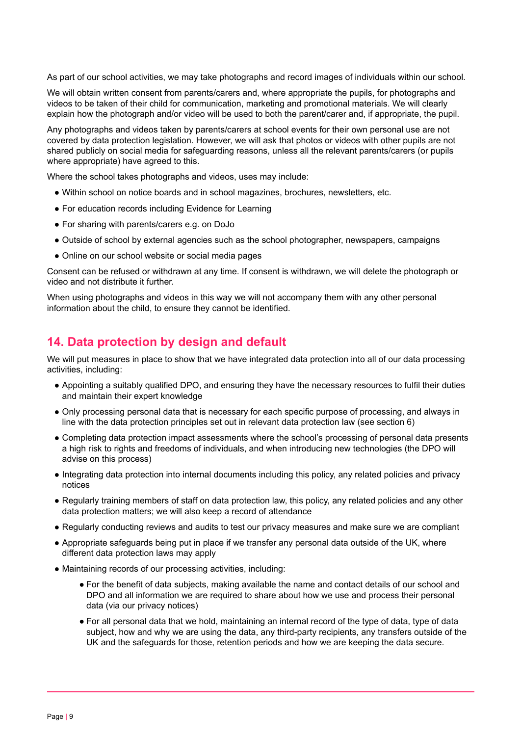As part of our school activities, we may take photographs and record images of individuals within our school.

We will obtain written consent from parents/carers and, where appropriate the pupils, for photographs and videos to be taken of their child for communication, marketing and promotional materials. We will clearly explain how the photograph and/or video will be used to both the parent/carer and, if appropriate, the pupil.

Any photographs and videos taken by parents/carers at school events for their own personal use are not covered by data protection legislation. However, we will ask that photos or videos with other pupils are not shared publicly on social media for safeguarding reasons, unless all the relevant parents/carers (or pupils where appropriate) have agreed to this.

Where the school takes photographs and videos, uses may include:

- Within school on notice boards and in school magazines, brochures, newsletters, etc.
- For education records including Evidence for Learning
- For sharing with parents/carers e.g. on DoJo
- Outside of school by external agencies such as the school photographer, newspapers, campaigns
- Online on our school website or social media pages

Consent can be refused or withdrawn at any time. If consent is withdrawn, we will delete the photograph or video and not distribute it further.

When using photographs and videos in this way we will not accompany them with any other personal information about the child, to ensure they cannot be identified.

## <span id="page-8-0"></span>**14. Data protection by design and default**

We will put measures in place to show that we have integrated data protection into all of our data processing activities, including:

- Appointing a suitably qualified DPO, and ensuring they have the necessary resources to fulfil their duties and maintain their expert knowledge
- Only processing personal data that is necessary for each specific purpose of processing, and always in line with the data protection principles set out in relevant data protection law (see section 6)
- Completing data protection impact assessments where the school's processing of personal data presents a high risk to rights and freedoms of individuals, and when introducing new technologies (the DPO will advise on this process)
- Integrating data protection into internal documents including this policy, any related policies and privacy notices
- Regularly training members of staff on data protection law, this policy, any related policies and any other data protection matters; we will also keep a record of attendance
- Regularly conducting reviews and audits to test our privacy measures and make sure we are compliant
- Appropriate safeguards being put in place if we transfer any personal data outside of the UK, where different data protection laws may apply
- Maintaining records of our processing activities, including:
	- For the benefit of data subjects, making available the name and contact details of our school and DPO and all information we are required to share about how we use and process their personal data (via our privacy notices)
	- For all personal data that we hold, maintaining an internal record of the type of data, type of data subject, how and why we are using the data, any third-party recipients, any transfers outside of the UK and the safeguards for those, retention periods and how we are keeping the data secure.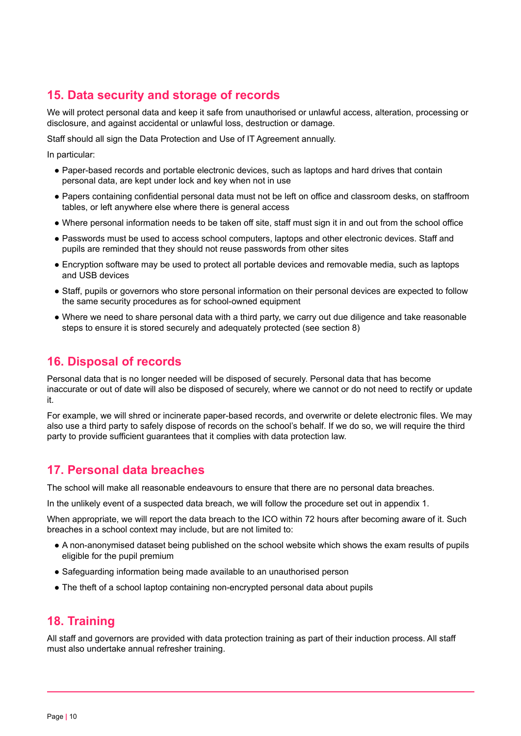# <span id="page-9-0"></span>**15. Data security and storage of records**

We will protect personal data and keep it safe from unauthorised or unlawful access, alteration, processing or disclosure, and against accidental or unlawful loss, destruction or damage.

Staff should all sign the Data Protection and Use of IT Agreement annually.

In particular:

- Paper-based records and portable electronic devices, such as laptops and hard drives that contain personal data, are kept under lock and key when not in use
- Papers containing confidential personal data must not be left on office and classroom desks, on staffroom tables, or left anywhere else where there is general access
- Where personal information needs to be taken off site, staff must sign it in and out from the school office
- Passwords must be used to access school computers, laptops and other electronic devices. Staff and pupils are reminded that they should not reuse passwords from other sites
- Encryption software may be used to protect all portable devices and removable media, such as laptops and USB devices
- Staff, pupils or governors who store personal information on their personal devices are expected to follow the same security procedures as for school-owned equipment
- Where we need to share personal data with a third party, we carry out due diligence and take reasonable steps to ensure it is stored securely and adequately protected (see section 8)

## <span id="page-9-1"></span>**16. Disposal of records**

Personal data that is no longer needed will be disposed of securely. Personal data that has become inaccurate or out of date will also be disposed of securely, where we cannot or do not need to rectify or update it.

For example, we will shred or incinerate paper-based records, and overwrite or delete electronic files. We may also use a third party to safely dispose of records on the school's behalf. If we do so, we will require the third party to provide sufficient guarantees that it complies with data protection law.

## <span id="page-9-2"></span>**17. Personal data breaches**

The school will make all reasonable endeavours to ensure that there are no personal data breaches.

In the unlikely event of a suspected data breach, we will follow the procedure set out in appendix 1.

When appropriate, we will report the data breach to the ICO within 72 hours after becoming aware of it. Such breaches in a school context may include, but are not limited to:

- A non-anonymised dataset being published on the school website which shows the exam results of pupils eligible for the pupil premium
- Safeguarding information being made available to an unauthorised person
- <span id="page-9-3"></span>• The theft of a school laptop containing non-encrypted personal data about pupils

## **18. Training**

All staff and governors are provided with data protection training as part of their induction process. All staff must also undertake annual refresher training.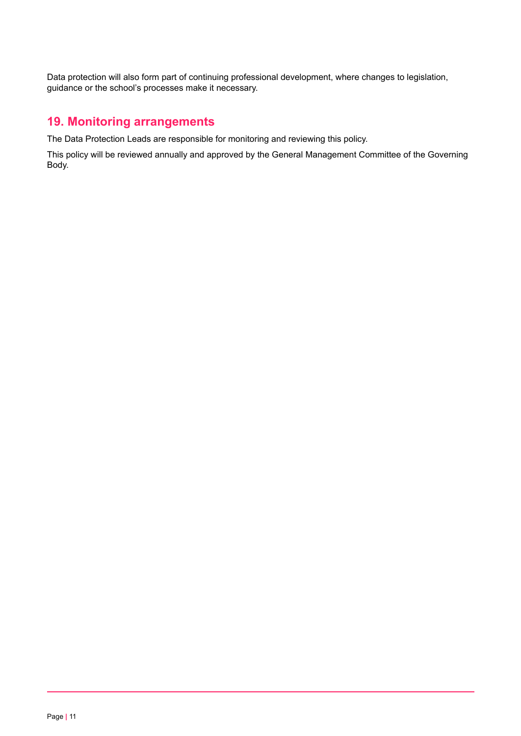Data protection will also form part of continuing professional development, where changes to legislation, guidance or the school's processes make it necessary.

# <span id="page-10-0"></span>**19. Monitoring arrangements**

The Data Protection Leads are responsible for monitoring and reviewing this policy.

This policy will be reviewed annually and approved by the General Management Committee of the Governing Body.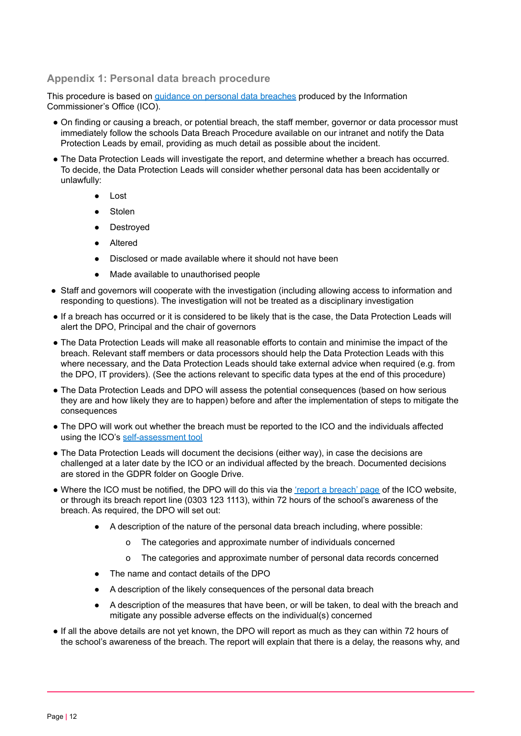### <span id="page-11-0"></span>**Appendix 1: Personal data breach procedure**

This procedure is based on guidance on personal data [breaches](https://ico.org.uk/for-organisations/guide-to-the-general-data-protection-regulation-gdpr/personal-data-breaches/) produced by the Information Commissioner's Office (ICO).

- On finding or causing a breach, or potential breach, the staff member, governor or data processor must immediately follow the schools Data Breach Procedure available on our intranet and notify the Data Protection Leads by email, providing as much detail as possible about the incident.
- The Data Protection Leads will investigate the report, and determine whether a breach has occurred. To decide, the Data Protection Leads will consider whether personal data has been accidentally or unlawfully:
	- Lost
	- Stolen
	- Destroyed
	- Altered
	- Disclosed or made available where it should not have been
	- Made available to unauthorised people
- Staff and governors will cooperate with the investigation (including allowing access to information and responding to questions). The investigation will not be treated as a disciplinary investigation
- If a breach has occurred or it is considered to be likely that is the case, the Data Protection Leads will alert the DPO, Principal and the chair of governors
- The Data Protection Leads will make all reasonable efforts to contain and minimise the impact of the breach. Relevant staff members or data processors should help the Data Protection Leads with this where necessary, and the Data Protection Leads should take external advice when required (e.g. from the DPO, IT providers). (See the actions relevant to specific data types at the end of this procedure)
- The Data Protection Leads and DPO will assess the potential consequences (based on how serious they are and how likely they are to happen) before and after the implementation of steps to mitigate the consequences
- The DPO will work out whether the breach must be reported to the ICO and the individuals affected using the ICO's [self-assessment](https://ico.org.uk/for-organisations/report-a-breach/personal-data-breach-assessment/) tool
- The Data Protection Leads will document the decisions (either way), in case the decisions are challenged at a later date by the ICO or an individual affected by the breach. Documented decisions are stored in the GDPR folder on Google Drive.
- Where the ICO must be notified, the DPO will do this via the 'report a [breach'](https://ico.org.uk/for-organisations/report-a-breach/) page of the ICO website, or through its breach report line (0303 123 1113), within 72 hours of the school's awareness of the breach. As required, the DPO will set out:
	- A description of the nature of the personal data breach including, where possible:
		- o The categories and approximate number of individuals concerned
		- o The categories and approximate number of personal data records concerned
	- The name and contact details of the DPO
	- A description of the likely consequences of the personal data breach
	- A description of the measures that have been, or will be taken, to deal with the breach and mitigate any possible adverse effects on the individual(s) concerned
- If all the above details are not yet known, the DPO will report as much as they can within 72 hours of the school's awareness of the breach. The report will explain that there is a delay, the reasons why, and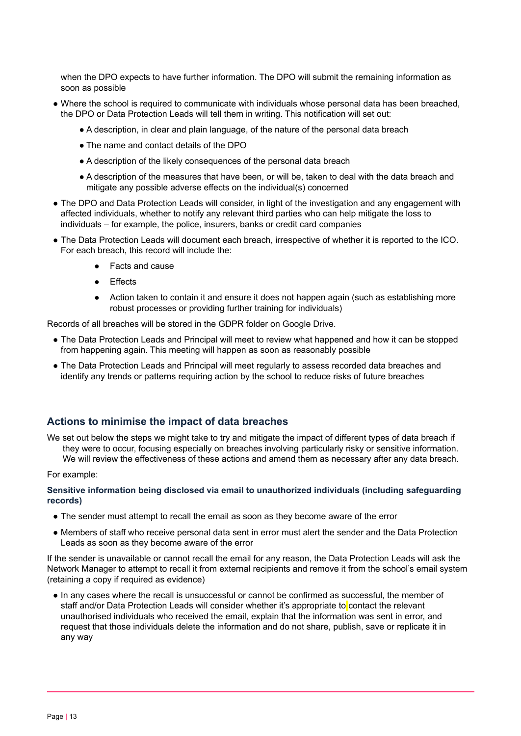when the DPO expects to have further information. The DPO will submit the remaining information as soon as possible

- Where the school is required to communicate with individuals whose personal data has been breached, the DPO or Data Protection Leads will tell them in writing. This notification will set out:
	- A description, in clear and plain language, of the nature of the personal data breach
	- The name and contact details of the DPO
	- A description of the likely consequences of the personal data breach
	- A description of the measures that have been, or will be, taken to deal with the data breach and mitigate any possible adverse effects on the individual(s) concerned
- The DPO and Data Protection Leads will consider, in light of the investigation and any engagement with affected individuals, whether to notify any relevant third parties who can help mitigate the loss to individuals – for example, the police, insurers, banks or credit card companies
- The Data Protection Leads will document each breach, irrespective of whether it is reported to the ICO. For each breach, this record will include the:
	- **Facts and cause**
	- **Effects**
	- Action taken to contain it and ensure it does not happen again (such as establishing more robust processes or providing further training for individuals)

Records of all breaches will be stored in the GDPR folder on Google Drive.

- The Data Protection Leads and Principal will meet to review what happened and how it can be stopped from happening again. This meeting will happen as soon as reasonably possible
- The Data Protection Leads and Principal will meet regularly to assess recorded data breaches and identify any trends or patterns requiring action by the school to reduce risks of future breaches

#### **Actions to minimise the impact of data breaches**

We set out below the steps we might take to try and mitigate the impact of different types of data breach if they were to occur, focusing especially on breaches involving particularly risky or sensitive information. We will review the effectiveness of these actions and amend them as necessary after any data breach.

For example:

#### **Sensitive information being disclosed via email to unauthorized individuals (including safeguarding records)**

- The sender must attempt to recall the email as soon as they become aware of the error
- Members of staff who receive personal data sent in error must alert the sender and the Data Protection Leads as soon as they become aware of the error

If the sender is unavailable or cannot recall the email for any reason, the Data Protection Leads will ask the Network Manager to attempt to recall it from external recipients and remove it from the school's email system (retaining a copy if required as evidence)

● In any cases where the recall is unsuccessful or cannot be confirmed as successful, the member of staff and/or Data Protection Leads will consider whether it's appropriate to contact the relevant unauthorised individuals who received the email, explain that the information was sent in error, and request that those individuals delete the information and do not share, publish, save or replicate it in any way